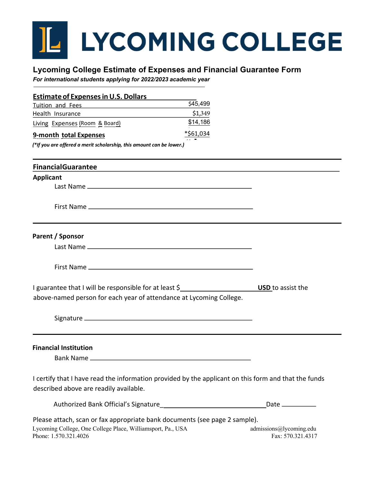## L LYCOMING COLLEGE

## **Lycoming College Estimate of Expenses and Financial Guarantee Form**

*For international students applying for 2022/2023 academic year*

| Estimate of Expenses in U.S. Dollars |           |
|--------------------------------------|-----------|
| <b>Tuition and Fees</b>              | \$45,499  |
| Health Insurance                     | \$1,349   |
| Living Expenses (Room & Board)       | \$14,186  |
| 9-month total Expenses               | *\$61,034 |

*(\*If you are offered a merit scholarship, this amount can be lower.)*

| <b>FinancialGuarantee</b>                                                                                                                                          |                                              |
|--------------------------------------------------------------------------------------------------------------------------------------------------------------------|----------------------------------------------|
| <b>Applicant</b>                                                                                                                                                   |                                              |
|                                                                                                                                                                    |                                              |
|                                                                                                                                                                    |                                              |
| Parent / Sponsor                                                                                                                                                   |                                              |
|                                                                                                                                                                    |                                              |
|                                                                                                                                                                    |                                              |
| I guarantee that I will be responsible for at least \$<br>above-named person for each year of attendance at Lycoming College.                                      | <b>USD</b> to assist the                     |
|                                                                                                                                                                    |                                              |
| <b>Financial Institution</b>                                                                                                                                       |                                              |
| I certify that I have read the information provided by the applicant on this form and that the funds<br>described above are readily available.                     |                                              |
|                                                                                                                                                                    | Date $\_\_\_\_\_\_\_\_\_\_\_\_\_$            |
| Please attach, scan or fax appropriate bank documents (see page 2 sample).<br>Lycoming College, One College Place, Williamsport, Pa., USA<br>Phone: 1.570.321.4026 | admissions@lycoming.edu<br>Fax: 570.321.4317 |